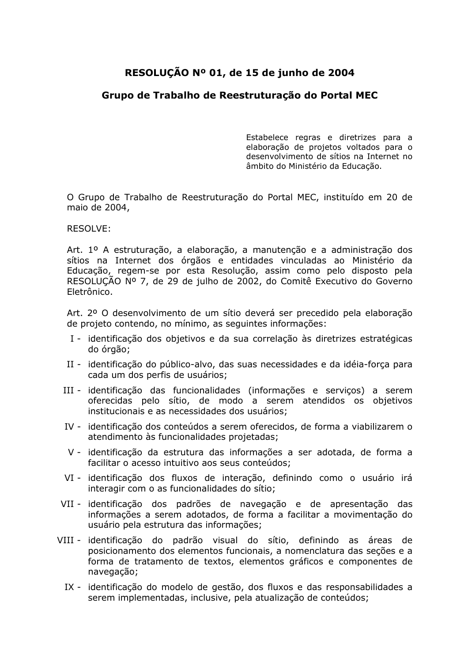## RESOLUÇÃO Nº 01, de 15 de junho de 2004

## Grupo de Trabalho de Reestruturação do Portal MEC

Estabelece regras e diretrizes para a elaboração de projetos voltados para o desenvolvimento de sítios na Internet no âmbito do Ministério da Educação.

O Grupo de Trabalho de Reestruturação do Portal MEC, instituído em 20 de maio de 2004,

**RESOLVE:** 

Art. 1º A estruturação, a elaboração, a manutenção e a administração dos sítios na Internet dos órgãos e entidades vinculadas ao Ministério da Educação, regem-se por esta Resolução, assim como pelo disposto pela RESOLUCÃO Nº 7, de 29 de julho de 2002, do Comitê Executivo do Governo Fletrônico.

Art. 2º O desenvolvimento de um sítio deverá ser precedido pela elaboração de projeto contendo, no mínimo, as seguintes informações:

- I identificação dos objetivos e da sua correlação às diretrizes estratégicas do órgão;
- II identificação do público-alvo, das suas necessidades e da idéia-força para cada um dos perfis de usuários;
- III identificação das funcionalidades (informações e serviços) a serem oferecidas pelo sítio, de modo a serem atendidos os objetivos institucionais e as necessidades dos usuários:
- IV identificação dos conteúdos a serem oferecidos, de forma a viabilizarem o atendimento às funcionalidades projetadas;
- V identificação da estrutura das informações a ser adotada, de forma a facilitar o acesso intuitivo aos seus conteúdos:
- VI identificação dos fluxos de interação, definindo como o usuário irá interagir com o as funcionalidades do sítio;
- VII identificação dos padrões de navegação e de apresentação das informações a serem adotados, de forma a facilitar a movimentação do usuário pela estrutura das informações;
- VIII identificação do padrão visual do sítio, definindo as áreas de posicionamento dos elementos funcionais, a nomenclatura das seções e a forma de tratamento de textos, elementos gráficos e componentes de navegação;
	- IX identificação do modelo de gestão, dos fluxos e das responsabilidades a serem implementadas, inclusive, pela atualização de conteúdos;